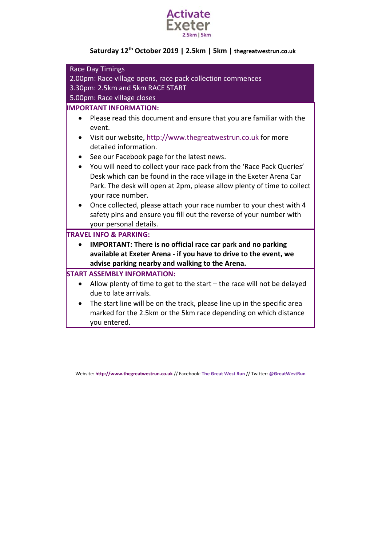

# **Saturday 12th October 2019 | 2.5km | 5km | thegreatwestrun.co.uk**

| <b>Race Day Timings</b>                                                           |  |
|-----------------------------------------------------------------------------------|--|
| 2.00pm: Race village opens, race pack collection commences                        |  |
| 3.30pm: 2.5km and 5km RACE START                                                  |  |
| 5.00pm: Race village closes                                                       |  |
| <b>IMPORTANT INFORMATION:</b>                                                     |  |
| Please read this document and ensure that you are familiar with the               |  |
| event.                                                                            |  |
| Visit our website, http://www.thegreatwestrun.co.uk for more                      |  |
| detailed information.                                                             |  |
| See our Facebook page for the latest news.                                        |  |
| You will need to collect your race pack from the 'Race Pack Queries'<br>$\bullet$ |  |
| Desk which can be found in the race village in the Exeter Arena Car               |  |
| Park. The desk will open at 2pm, please allow plenty of time to collect           |  |
| your race number.                                                                 |  |
| Once collected, please attach your race number to your chest with 4               |  |
| safety pins and ensure you fill out the reverse of your number with               |  |
| your personal details.                                                            |  |
| <b>TRAVEL INFO &amp; PARKING:</b>                                                 |  |
| <b>IMPORTANT: There is no official race car park and no parking</b>               |  |
| available at Exeter Arena - if you have to drive to the event, we                 |  |
| advise parking nearby and walking to the Arena.                                   |  |
| <b>START ASSEMBLY INFORMATION:</b>                                                |  |
| Allow plenty of time to get to the start $-$ the race will not be delayed         |  |
| due to late arrivals.                                                             |  |
| The start line will be on the track, please line up in the specific area          |  |
| marked for the 2.5km or the 5km race depending on which distance                  |  |
| you entered.                                                                      |  |

Website: **http://www.thegreatwestrun.co.uk** // Facebook: **The Great West Run** // Twitter: **@GreatWestRun**